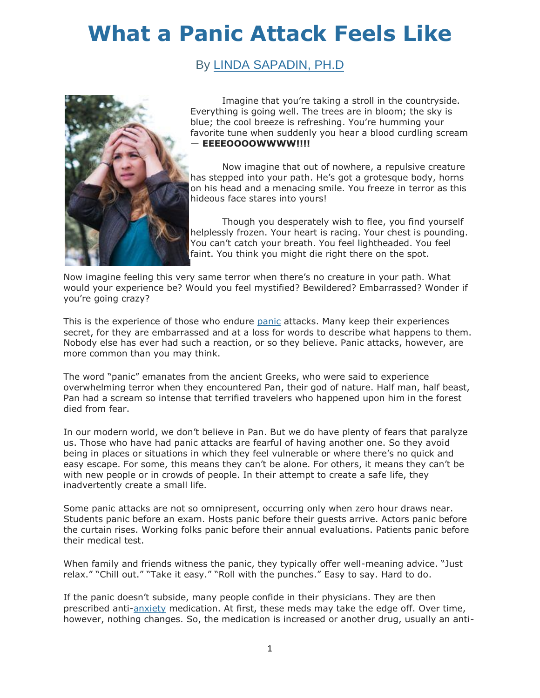## **[What a Panic Attack Feels Like](http://psychcentral.com/blog/archives/2013/03/11/what-a-panic-attack-feels-like/)**

## By [LINDA SAPADIN, PH.D](http://psychcentral.com/blog/archives/author/linda-sapadin/)



Imagine that you're taking a stroll in the countryside. Everything is going well. The trees are in bloom; the sky is blue; the cool breeze is refreshing. You're humming your favorite tune when suddenly you hear a blood curdling scream — **EEEEOOOOWWWW!!!!**

Now imagine that out of nowhere, a repulsive creature has stepped into your path. He's got a grotesque body, horns on his head and a menacing smile. You freeze in terror as this hideous face stares into yours!

Though you desperately wish to flee, you find yourself helplessly frozen. Your heart is racing. Your chest is pounding. You can't catch your breath. You feel lightheaded. You feel faint. You think you might die right there on the spot.

Now imagine feeling this very same terror when there's no creature in your path. What would your experience be? Would you feel mystified? Bewildered? Embarrassed? Wonder if you're going crazy?

This is the experience of those who endure [panic](http://psychcentral.com/disorders/anxiety/panic.html) attacks. Many keep their experiences secret, for they are embarrassed and at a loss for words to describe what happens to them. Nobody else has ever had such a reaction, or so they believe. Panic attacks, however, are more common than you may think.

The word "panic" emanates from the ancient Greeks, who were said to experience overwhelming terror when they encountered Pan, their god of nature. Half man, half beast, Pan had a scream so intense that terrified travelers who happened upon him in the forest died from fear.

In our modern world, we don't believe in Pan. But we do have plenty of fears that paralyze us. Those who have had panic attacks are fearful of having another one. So they avoid being in places or situations in which they feel vulnerable or where there's no quick and easy escape. For some, this means they can't be alone. For others, it means they can't be with new people or in crowds of people. In their attempt to create a safe life, they inadvertently create a small life.

Some panic attacks are not so omnipresent, occurring only when zero hour draws near. Students panic before an exam. Hosts panic before their guests arrive. Actors panic before the curtain rises. Working folks panic before their annual evaluations. Patients panic before their medical test.

When family and friends witness the panic, they typically offer well-meaning advice. "Just relax." "Chill out." "Take it easy." "Roll with the punches." Easy to say. Hard to do.

If the panic doesn't subside, many people confide in their physicians. They are then prescribed anti[-anxiety](http://psychcentral.com/disorders/anxiety/) medication. At first, these meds may take the edge off. Over time, however, nothing changes. So, the medication is increased or another drug, usually an anti